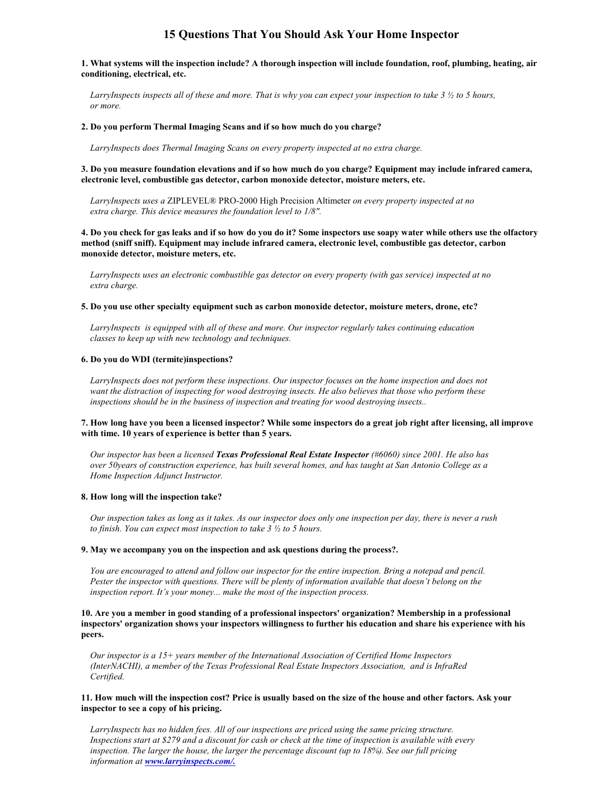# **15 Questions That You Should Ask Your Home Inspector**

**1. What systems will the inspection include? A thorough inspection will include foundation, roof, plumbing, heating, air conditioning, electrical, etc.**

*LarryInspects inspects all of these and more. That is why you can expect your inspection to take 3 ½ to 5 hours, or more.*

# **2. Do you perform Thermal Imaging Scans and if so how much do you charge?**

*LarryInspects does Thermal Imaging Scans on every property inspected at no extra charge.*

#### **3. Do you measure foundation elevations and if so how much do you charge? Equipment may include infrared camera, electronic level, combustible gas detector, carbon monoxide detector, moisture meters, etc.**

*LarryInspects uses a* ZIPLEVEL® PRO-2000 High Precision Altimeter *on every property inspected at no extra charge. This device measures the foundation level to 1/8".*

**4. Do you check for gas leaks and if so how do you do it? Some inspectors use soapy water while others use the olfactory method (sniff sniff). Equipment may include infrared camera, electronic level, combustible gas detector, carbon monoxide detector, moisture meters, etc.**

*LarryInspects uses an electronic combustible gas detector on every property (with gas service) inspected at no extra charge.*

#### **5. Do you use other specialty equipment such as carbon monoxide detector, moisture meters, drone, etc?**

*LarryInspects is equipped with all of these and more. Our inspector regularly takes continuing education classes to keep up with new technology and techniques.*

#### **6. Do you do WDI (termite)inspections?**

*LarryInspects does not perform these inspections. Our inspector focuses on the home inspection and does not want the distraction of inspecting for wood destroying insects. He also believes that those who perform these inspections should be in the business of inspection and treating for wood destroying insects..*

#### **7. How long have you been a licensed inspector? While some inspectors do a great job right after licensing, all improve with time. 10 years of experience is better than 5 years.**

*Our inspector has been a licensed Texas Professional Real Estate Inspector (#6060) since 2001. He also has over 50years of construction experience, has built several homes, and has taught at San Antonio College as a Home Inspection Adjunct Instructor.*

#### **8. How long will the inspection take?**

*Our inspection takes as long as it takes. As our inspector does only one inspection per day, there is never a rush to finish. You can expect most inspection to take 3 ½ to 5 hours.*

# **9. May we accompany you on the inspection and ask questions during the process?.**

*You are encouraged to attend and follow our inspector for the entire inspection. Bring a notepad and pencil. Pester the inspector with questions. There will be plenty of information available that doesn't belong on the inspection report. It's your money... make the most of the inspection process.*

**10. Are you a member in good standing of a professional inspectors' organization? Membership in a professional inspectors' organization shows your inspectors willingness to further his education and share his experience with his peers.**

*Our inspector is a 15+ years member of the International Association of Certified Home Inspectors (InterNACHI), a member of the Texas Professional Real Estate Inspectors Association, and is InfraRed Certified.*

# **11. How much will the inspection cost? Price is usually based on the size of the house and other factors. Ask your inspector to see a copy of his pricing.**

*LarryInspects has no hidden fees. All of our inspections are priced using the same pricing structure. Inspections start at \$279 and a discount for cash or check at the time of inspection is available with every inspection. The larger the house, the larger the percentage discount (up to 18%). See our full pricing information at www.larryinspects.com/.*